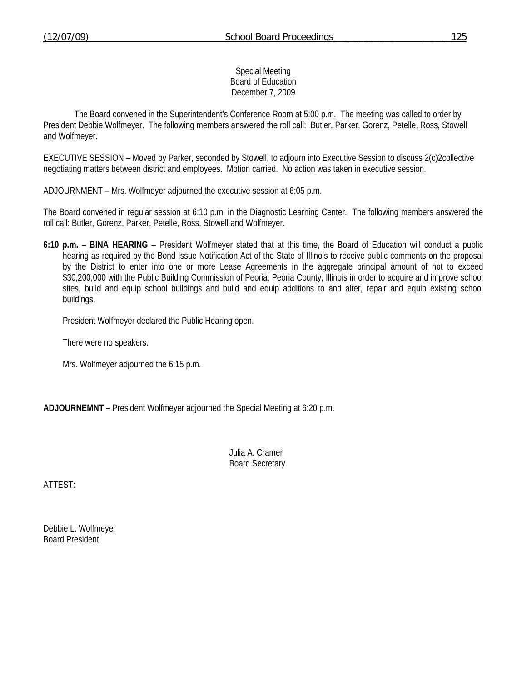## Special Meeting Board of Education December 7, 2009

 The Board convened in the Superintendent's Conference Room at 5:00 p.m. The meeting was called to order by President Debbie Wolfmeyer. The following members answered the roll call: Butler, Parker, Gorenz, Petelle, Ross, Stowell and Wolfmeyer.

EXECUTIVE SESSION – Moved by Parker, seconded by Stowell, to adjourn into Executive Session to discuss 2(c)2collective negotiating matters between district and employees. Motion carried. No action was taken in executive session.

ADJOURNMENT – Mrs. Wolfmeyer adjourned the executive session at 6:05 p.m.

The Board convened in regular session at 6:10 p.m. in the Diagnostic Learning Center. The following members answered the roll call: Butler, Gorenz, Parker, Petelle, Ross, Stowell and Wolfmeyer.

**6:10 p.m. – BINA HEARING** – President Wolfmeyer stated that at this time, the Board of Education will conduct a public hearing as required by the Bond Issue Notification Act of the State of Illinois to receive public comments on the proposal by the District to enter into one or more Lease Agreements in the aggregate principal amount of not to exceed \$30,200,000 with the Public Building Commission of Peoria, Peoria County, Illinois in order to acquire and improve school sites, build and equip school buildings and build and equip additions to and alter, repair and equip existing school buildings.

President Wolfmeyer declared the Public Hearing open.

There were no speakers.

Mrs. Wolfmeyer adjourned the 6:15 p.m.

**ADJOURNEMNT –** President Wolfmeyer adjourned the Special Meeting at 6:20 p.m.

 Julia A. Cramer Board Secretary

ATTEST:

Debbie L. Wolfmeyer Board President